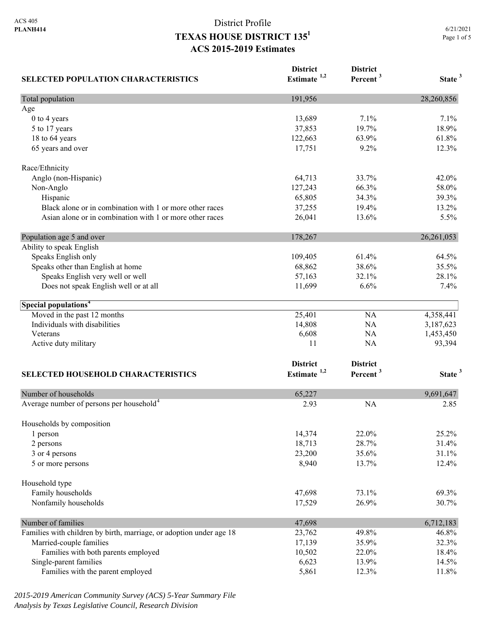| <b>SELECTED POPULATION CHARACTERISTICS</b>                          | <b>District</b><br>Estimate <sup>1,2</sup> | <b>District</b><br>Percent <sup>3</sup> | State <sup>3</sup> |
|---------------------------------------------------------------------|--------------------------------------------|-----------------------------------------|--------------------|
| Total population                                                    | 191,956                                    |                                         | 28,260,856         |
| Age                                                                 |                                            |                                         |                    |
| 0 to 4 years                                                        | 13,689                                     | 7.1%                                    | 7.1%               |
| 5 to 17 years                                                       | 37,853                                     | 19.7%                                   | 18.9%              |
| 18 to 64 years                                                      | 122,663                                    | 63.9%                                   | 61.8%              |
| 65 years and over                                                   | 17,751                                     | 9.2%                                    | 12.3%              |
| Race/Ethnicity                                                      |                                            |                                         |                    |
| Anglo (non-Hispanic)                                                | 64,713                                     | 33.7%                                   | 42.0%              |
| Non-Anglo                                                           | 127,243                                    | 66.3%                                   | 58.0%              |
| Hispanic                                                            | 65,805                                     | 34.3%                                   | 39.3%              |
| Black alone or in combination with 1 or more other races            | 37,255                                     | 19.4%                                   | 13.2%              |
| Asian alone or in combination with 1 or more other races            | 26,041                                     | 13.6%                                   | 5.5%               |
| Population age 5 and over                                           | 178,267                                    |                                         | 26, 261, 053       |
| Ability to speak English                                            |                                            |                                         |                    |
| Speaks English only                                                 | 109,405                                    | 61.4%                                   | 64.5%              |
| Speaks other than English at home                                   | 68,862                                     | 38.6%                                   | 35.5%              |
| Speaks English very well or well                                    | 57,163                                     | 32.1%                                   | 28.1%              |
| Does not speak English well or at all                               | 11,699                                     | 6.6%                                    | 7.4%               |
| Special populations <sup>4</sup>                                    |                                            |                                         |                    |
| Moved in the past 12 months                                         | 25,401                                     | NA                                      | 4,358,441          |
| Individuals with disabilities                                       | 14,808                                     | NA                                      | 3,187,623          |
| Veterans                                                            | 6,608                                      | <b>NA</b>                               | 1,453,450          |
| Active duty military                                                | 11                                         | <b>NA</b>                               | 93,394             |
|                                                                     | <b>District</b>                            | <b>District</b>                         |                    |
| <b>SELECTED HOUSEHOLD CHARACTERISTICS</b>                           | Estimate <sup>1,2</sup>                    | Percent <sup>3</sup>                    | State <sup>3</sup> |
| Number of households                                                | 65,227                                     |                                         | 9,691,647          |
| Average number of persons per household <sup>4</sup>                | 2.93                                       | <b>NA</b>                               | 2.85               |
| Households by composition                                           |                                            |                                         |                    |
| 1 person                                                            | 14,374                                     | 22.0%                                   | 25.2%              |
| 2 persons                                                           | 18,713                                     | 28.7%                                   | 31.4%              |
| 3 or 4 persons                                                      | 23,200                                     | 35.6%                                   | 31.1%              |
| 5 or more persons                                                   | 8,940                                      | 13.7%                                   | 12.4%              |
| Household type                                                      |                                            |                                         |                    |
| Family households                                                   | 47,698                                     | 73.1%                                   | 69.3%              |
| Nonfamily households                                                | 17,529                                     | 26.9%                                   | 30.7%              |
| Number of families                                                  | 47,698                                     |                                         | 6,712,183          |
| Families with children by birth, marriage, or adoption under age 18 | 23,762                                     | 49.8%                                   | 46.8%              |
| Married-couple families                                             | 17,139                                     | 35.9%                                   | 32.3%              |
| Families with both parents employed                                 | 10,502                                     | 22.0%                                   | 18.4%              |
| Single-parent families                                              | 6,623                                      | 13.9%                                   | 14.5%              |
| Families with the parent employed                                   | 5,861                                      | 12.3%                                   | 11.8%              |

*2015-2019 American Community Survey (ACS) 5-Year Summary File Analysis by Texas Legislative Council, Research Division*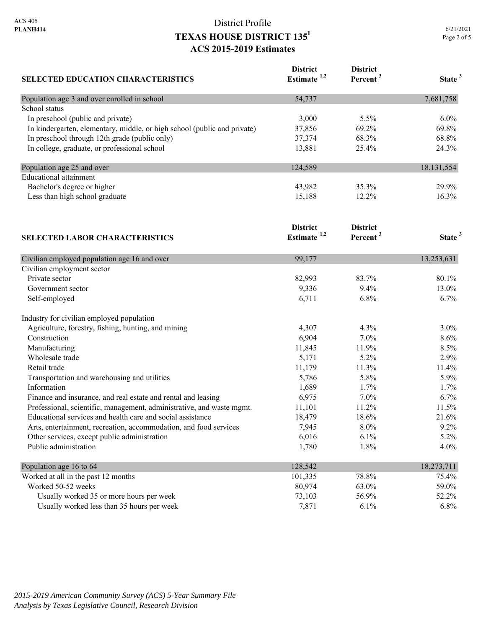| 6/21/2021   |  |  |  |
|-------------|--|--|--|
| Page 2 of 5 |  |  |  |

| SELECTED EDUCATION CHARACTERISTICS                                       | <b>District</b><br>Estimate <sup>1,2</sup> | <b>District</b><br>Percent <sup>3</sup> | State <sup>3</sup> |
|--------------------------------------------------------------------------|--------------------------------------------|-----------------------------------------|--------------------|
| Population age 3 and over enrolled in school                             | 54,737                                     |                                         | 7,681,758          |
| School status                                                            |                                            |                                         |                    |
| In preschool (public and private)                                        | 3,000                                      | 5.5%                                    | 6.0%               |
| In kindergarten, elementary, middle, or high school (public and private) | 37,856                                     | 69.2%                                   | 69.8%              |
| In preschool through 12th grade (public only)                            | 37,374                                     | 68.3%                                   | 68.8%              |
| In college, graduate, or professional school                             | 13,881                                     | 25.4%                                   | 24.3%              |
| Population age 25 and over                                               | 124,589                                    |                                         | 18, 131, 554       |
| <b>Educational attainment</b>                                            |                                            |                                         |                    |
| Bachelor's degree or higher                                              | 43,982                                     | 35.3%                                   | 29.9%              |
| Less than high school graduate                                           | 15,188                                     | 12.2%                                   | 16.3%              |
|                                                                          | <b>District</b>                            | <b>District</b>                         |                    |
| <b>SELECTED LABOR CHARACTERISTICS</b>                                    | Estimate <sup>1,2</sup>                    | Percent <sup>3</sup>                    | State <sup>3</sup> |
| Civilian employed population age 16 and over                             | 99,177                                     |                                         | 13,253,631         |
| Civilian employment sector                                               |                                            |                                         |                    |
| Private sector                                                           | 82,993                                     | 83.7%                                   | 80.1%              |
| Government sector                                                        | 9,336                                      | 9.4%                                    | 13.0%              |
| Self-employed                                                            | 6,711                                      | 6.8%                                    | 6.7%               |
| Industry for civilian employed population                                |                                            |                                         |                    |
| Agriculture, forestry, fishing, hunting, and mining                      | 4,307                                      | 4.3%                                    | 3.0%               |
| Construction                                                             | 6,904                                      | 7.0%                                    | 8.6%               |
| Manufacturing                                                            | 11,845                                     | 11.9%                                   | 8.5%               |
| Wholesale trade                                                          | 5,171                                      | 5.2%                                    | 2.9%               |
| Retail trade                                                             | 11,179                                     | 11.3%                                   | 11.4%              |
| Transportation and warehousing and utilities                             | 5,786                                      | 5.8%                                    | 5.9%               |
| Information                                                              | 1,689                                      | 1.7%                                    | 1.7%               |
| Finance and insurance, and real estate and rental and leasing            | 6,975                                      | 7.0%                                    | 6.7%               |
| Professional, scientific, management, administrative, and waste mgmt.    | 11,101                                     | 11.2%                                   | 11.5%              |
| Educational services and health care and social assistance               | 18,479                                     | 18.6%                                   | 21.6%              |
| Arts, entertainment, recreation, accommodation, and food services        | 7,945                                      | 8.0%                                    | 9.2%               |
| Other services, except public administration                             | 6,016                                      | 6.1%                                    | 5.2%               |
| Public administration                                                    | 1,780                                      | 1.8%                                    | 4.0%               |

| Population age 16 to 64                    | 128,542 |         | 18,273,711 |
|--------------------------------------------|---------|---------|------------|
| Worked at all in the past 12 months        | 101.335 | 78.8%   | 75.4%      |
| Worked 50-52 weeks                         | 80,974  | 63.0%   | 59.0%      |
| Usually worked 35 or more hours per week   | 73.103  | 56.9%   | 52.2%      |
| Usually worked less than 35 hours per week | 7.871   | $6.1\%$ | $6.8\%$    |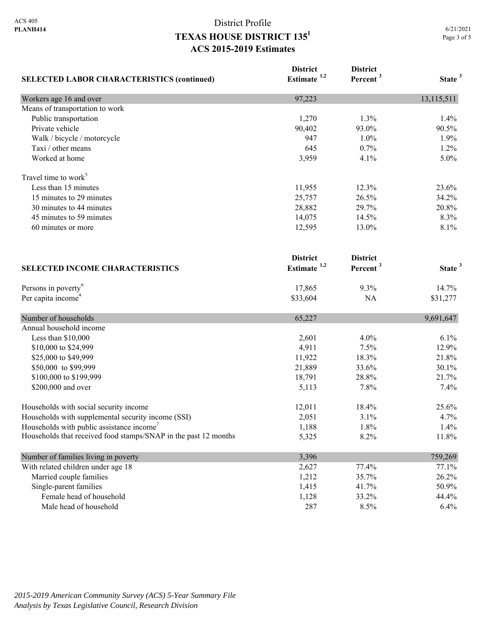| <b>SELECTED LABOR CHARACTERISTICS (continued)</b>               | <b>District</b><br>Estimate $1,2$ | <b>District</b><br>Percent <sup>3</sup> | State <sup>3</sup> |
|-----------------------------------------------------------------|-----------------------------------|-----------------------------------------|--------------------|
|                                                                 |                                   |                                         |                    |
| Workers age 16 and over                                         | 97,223                            |                                         | 13,115,511         |
| Means of transportation to work                                 |                                   |                                         |                    |
| Public transportation                                           | 1,270                             | 1.3%                                    | 1.4%               |
| Private vehicle                                                 | 90,402                            | 93.0%                                   | 90.5%              |
| Walk / bicycle / motorcycle                                     | 947                               | 1.0%                                    | 1.9%               |
| Taxi / other means                                              | 645                               | 0.7%                                    | 1.2%               |
| Worked at home                                                  | 3,959                             | 4.1%                                    | 5.0%               |
| Travel time to work <sup>5</sup>                                |                                   |                                         |                    |
| Less than 15 minutes                                            | 11,955                            | 12.3%                                   | 23.6%              |
| 15 minutes to 29 minutes                                        | 25,757                            | 26.5%                                   | 34.2%              |
| 30 minutes to 44 minutes                                        | 28,882                            | 29.7%                                   | 20.8%              |
| 45 minutes to 59 minutes                                        | 14,075                            | 14.5%                                   | 8.3%               |
| 60 minutes or more                                              | 12,595                            | 13.0%                                   | 8.1%               |
|                                                                 | <b>District</b>                   | <b>District</b>                         |                    |
| <b>SELECTED INCOME CHARACTERISTICS</b>                          | Estimate $1,2$                    | Percent <sup>3</sup>                    | State <sup>3</sup> |
| Persons in poverty <sup>6</sup>                                 | 17,865                            | 9.3%                                    | 14.7%              |
| Per capita income <sup>4</sup>                                  | \$33,604                          | NA                                      | \$31,277           |
| Number of households                                            | 65,227                            |                                         | 9,691,647          |
| Annual household income                                         |                                   |                                         |                    |
| Less than \$10,000                                              | 2,601                             | 4.0%                                    | 6.1%               |
| \$10,000 to \$24,999                                            | 4,911                             | 7.5%                                    | 12.9%              |
| \$25,000 to \$49,999                                            | 11,922                            | 18.3%                                   | 21.8%              |
| \$50,000 to \$99,999                                            | 21,889                            | 33.6%                                   | 30.1%              |
| \$100,000 to \$199,999                                          | 18,791                            | 28.8%                                   | 21.7%              |
| \$200,000 and over                                              | 5,113                             | 7.8%                                    | 7.4%               |
| Households with social security income                          | 12,011                            | 18.4%                                   | 25.6%              |
| Households with supplemental security income (SSI)              | 2,051                             | 3.1%                                    | 4.7%               |
| Households with public assistance income'                       | 1,188                             | 1.8%                                    | 1.4%               |
| Households that received food stamps/SNAP in the past 12 months | 5,325                             | 8.2%                                    | 11.8%              |
| Number of families living in poverty                            | 3,396                             |                                         | 759,269            |
| With related children under age 18                              | 2,627                             | 77.4%                                   | 77.1%              |
| Married couple families                                         | 1,212                             | 35.7%                                   | 26.2%              |
| Single-parent families                                          | 1,415                             | 41.7%                                   | 50.9%              |
| Female head of household                                        | 1,128                             | 33.2%                                   | 44.4%              |
| Male head of household                                          | 287                               | 8.5%                                    | 6.4%               |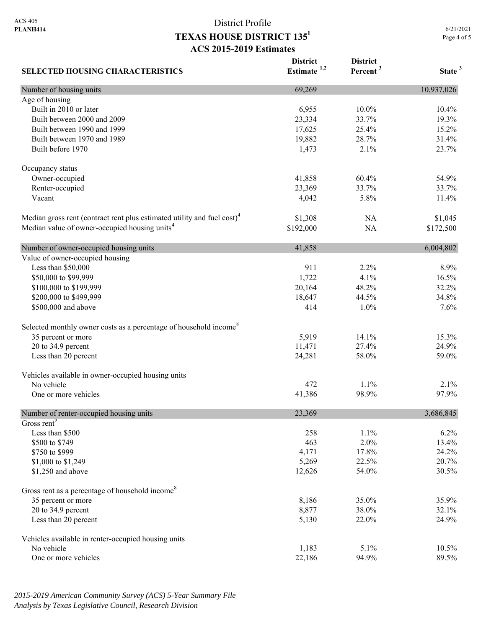**District** 

**District** 

| <b>SELECTED HOUSING CHARACTERISTICS</b>                                             | DISU ICL<br>Estimate <sup>1,2</sup> | DISU ICL<br>Percent <sup>3</sup> | State <sup>3</sup> |
|-------------------------------------------------------------------------------------|-------------------------------------|----------------------------------|--------------------|
| Number of housing units                                                             | 69,269                              |                                  | 10,937,026         |
| Age of housing                                                                      |                                     |                                  |                    |
| Built in 2010 or later                                                              | 6,955                               | 10.0%                            | 10.4%              |
| Built between 2000 and 2009                                                         | 23,334                              | 33.7%                            | 19.3%              |
| Built between 1990 and 1999                                                         | 17,625                              | 25.4%                            | 15.2%              |
| Built between 1970 and 1989                                                         | 19,882                              | 28.7%                            | 31.4%              |
| Built before 1970                                                                   | 1,473                               | 2.1%                             | 23.7%              |
| Occupancy status                                                                    |                                     |                                  |                    |
| Owner-occupied                                                                      | 41,858                              | 60.4%                            | 54.9%              |
| Renter-occupied                                                                     | 23,369                              | 33.7%                            | 33.7%              |
| Vacant                                                                              | 4,042                               | 5.8%                             | 11.4%              |
| Median gross rent (contract rent plus estimated utility and fuel cost) <sup>4</sup> | \$1,308                             | NA                               | \$1,045            |
| Median value of owner-occupied housing units <sup>4</sup>                           | \$192,000                           | NA                               | \$172,500          |
| Number of owner-occupied housing units                                              | 41,858                              |                                  | 6,004,802          |
| Value of owner-occupied housing                                                     |                                     |                                  |                    |
| Less than \$50,000                                                                  | 911                                 | 2.2%                             | 8.9%               |
| \$50,000 to \$99,999                                                                | 1,722                               | 4.1%                             | 16.5%              |
| \$100,000 to \$199,999                                                              | 20,164                              | 48.2%                            | 32.2%              |
| \$200,000 to \$499,999                                                              | 18,647                              | 44.5%                            | 34.8%              |
| \$500,000 and above                                                                 | 414                                 | 1.0%                             | 7.6%               |
| Selected monthly owner costs as a percentage of household income <sup>8</sup>       |                                     |                                  |                    |
| 35 percent or more                                                                  | 5,919                               | 14.1%                            | 15.3%              |
| 20 to 34.9 percent                                                                  | 11,471                              | 27.4%                            | 24.9%              |
| Less than 20 percent                                                                | 24,281                              | 58.0%                            | 59.0%              |
| Vehicles available in owner-occupied housing units                                  |                                     |                                  |                    |
| No vehicle                                                                          | 472                                 | 1.1%                             | 2.1%               |
| One or more vehicles                                                                | 41,386                              | 98.9%                            | 97.9%              |
| Number of renter-occupied housing units                                             | 23,369                              |                                  | 3,686,845          |
| Gross rent <sup>9</sup>                                                             |                                     |                                  |                    |
| Less than \$500                                                                     | 258                                 | 1.1%                             | 6.2%               |
| \$500 to \$749                                                                      | 463                                 | 2.0%                             | 13.4%              |
| \$750 to \$999                                                                      | 4,171                               | 17.8%                            | 24.2%              |
| \$1,000 to \$1,249                                                                  | 5,269                               | 22.5%                            | 20.7%              |
| \$1,250 and above                                                                   | 12,626                              | 54.0%                            | 30.5%              |
| Gross rent as a percentage of household income <sup>8</sup>                         |                                     |                                  |                    |
| 35 percent or more                                                                  | 8,186                               | 35.0%                            | 35.9%              |
| 20 to 34.9 percent                                                                  | 8,877                               | 38.0%                            | 32.1%              |
| Less than 20 percent                                                                | 5,130                               | 22.0%                            | 24.9%              |
| Vehicles available in renter-occupied housing units                                 |                                     |                                  |                    |
| No vehicle                                                                          | 1,183                               | 5.1%                             | 10.5%              |
| One or more vehicles                                                                | 22,186                              | 94.9%                            | 89.5%              |